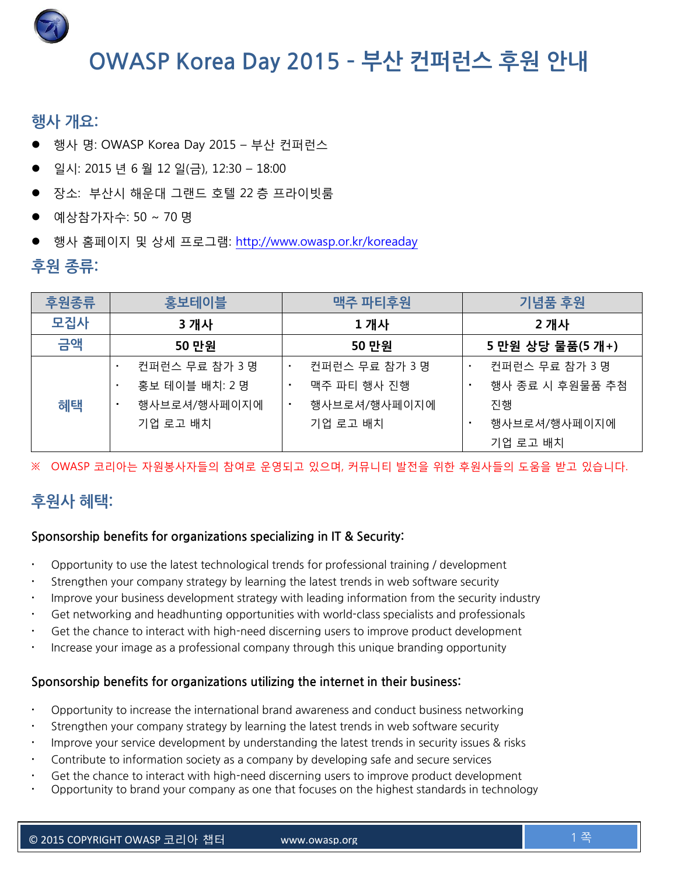

# **OWASP Korea Day 2015 – 부산 컨퍼런스 후원 안내**

## **행사 개요:**

- 행사 명: OWASP Korea Day 2015 부산 컨퍼런스
- 일시: 2015 년 6 월 12 일(금), 12:30 18:00
- 장소: 부산시 해운대 그랜드 호텔 22 층 프라이빗룸
- 예상참가자수: 50 ~ 70 명
- 행사 홈페이지 및 상세 프로그램:<http://www.owasp.or.kr/koreaday>

## **후원 종류:**

| 후원종류 | 홍보테이블             | 맥주 파티후원                          | 기념품 후원                           |
|------|-------------------|----------------------------------|----------------------------------|
| 모집사  | 3 개사              | 1 개사                             | 2 개사                             |
| 금액   | 50 만원             | 50 만원                            | 5 만원 상당 물품(5 개+)                 |
|      | 컨퍼런스 무료 참가 3 명    | 컨퍼런스 무료 참가 3 명<br>$\blacksquare$ | 컨퍼런스 무료 참가 3 명<br>$\blacksquare$ |
|      | 홍보 테이블 배치: 2 명    | 맥주 파티 행사 진행<br>٠                 | 행사 종료 시 후원물품 추첨                  |
| 혜택   | 행사브로셔/행사페이지에<br>٠ | 행사브로셔/행사페이지에<br>٠                | 진행                               |
|      | 기업 로고 배치          | 기업 로고 배치                         | 행사브로셔/행사페이지에<br>$\blacksquare$   |
|      |                   |                                  | 기업 로고 배치                         |

OWASP 코리아는 자원봉사자들의 참여로 운영되고 있으며, 커뮤니티 발전을 위한 후원사들의 도움을 받고 있습니다.

# **후원사 혜택:**

#### **Sponsorship benefits for organizations specializing in IT & Security:**

- Opportunity to use the latest technological trends for professional training / development
- Strengthen your company strategy by learning the latest trends in web software security
- Improve your business development strategy with leading information from the security industry
- Get networking and headhunting opportunities with world-class specialists and professionals
- Get the chance to interact with high-need discerning users to improve product development
- Increase your image as a professional company through this unique branding opportunity

#### **Sponsorship benefits for organizations utilizing the internet in their business:**

- Opportunity to increase the international brand awareness and conduct business networking
- Strengthen your company strategy by learning the latest trends in web software security
- Improve your service development by understanding the latest trends in security issues & risks
- Contribute to information society as a company by developing safe and secure services
- Get the chance to interact with high-need discerning users to improve product development
- Opportunity to brand your company as one that focuses on the highest standards in technology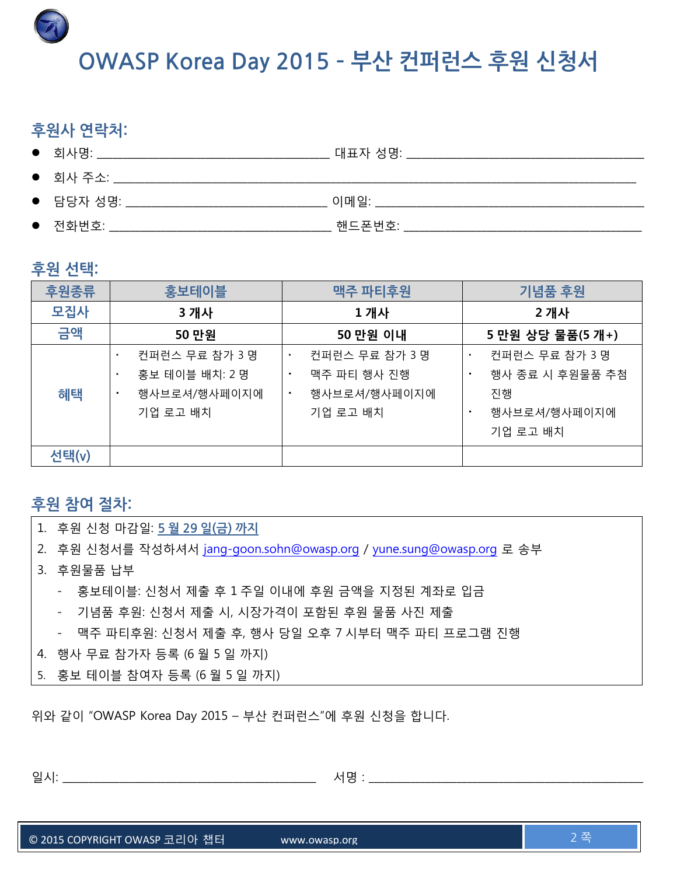**OWASP Korea Day 2015 – 부산 컨퍼런스 후원 신청서**

# **후원사 연락처:**

| $\bullet$ 회사명:    | 대표자 성명:        |
|-------------------|----------------|
| $\bullet$ 회사 주소:  |                |
| $\bullet$ 담당자 성명: | 이메일:           |
| $\bullet$ 전화번호:   | <u> 해드폰번호:</u> |

## **후원 선택:**

| 후원종류  | 홍보테이블                                                                       | 맥주 파티후원                                                                  | 기념품 후원                                                                             |
|-------|-----------------------------------------------------------------------------|--------------------------------------------------------------------------|------------------------------------------------------------------------------------|
| 모집사   | 3 개사                                                                        | 1개사                                                                      | 2 개사                                                                               |
| 금액    | 50 만원                                                                       | 50 만원 이내                                                                 | 5 만원 상당 물품(5 개+)                                                                   |
| 혜택    | 컨퍼런스 무료 참가 3 명<br>٠<br>홍보 테이블 배치: 2 명<br>×<br>행사브로셔/행사페이지에<br>٠<br>기업 로고 배치 | 컨퍼런스 무료 참가 3 명<br>٠<br>맥주 파티 행사 진행<br>٠<br>행사브로셔/행사페이지에<br>٠<br>기업 로고 배치 | 컨퍼런스 무료 참가 3 명<br>٠<br>행사 종료 시 후원물품 추첨<br>٠<br>진행<br>행사브로셔/행사페이지에<br>٠<br>기업 로고 배치 |
| 선택(v) |                                                                             |                                                                          |                                                                                    |

## **후원 참여 절차:**

- 1. 후원 신청 마감일: **5 월 29 일(금) 까지**
- 2. 후원 신청서를 작성하셔서 jang-goon.sohn@owasp.org / [yune.sung@owasp.org](mailto:yune.sung@owasp.org) 로 송부
- 3. 후원물품 납부
	- 홍보테이블: 신청서 제출 후 1 주일 이내에 후원 금액을 지정된 계좌로 입금
	- 기념품 후원: 신청서 제출 시, 시장가격이 포함된 후원 물품 사진 제출
	- 맥주 파티후원: 신청서 제출 후, 행사 당일 오후 7 시부터 맥주 파티 프로그램 진행
- 4. 행사 무료 참가자 등록 (6 월 5 일 까지)
- 5. 홍보 테이블 참여자 등록 (6 월 5 일 까지)

위와 같이 "OWASP Korea Day 2015 – 부산 컨퍼런스"에 후원 신청을 합니다.

|--|--|

© 2015 COPYRIGHT OWASP 코리아 챕터 www.owasp.org 2 쪽